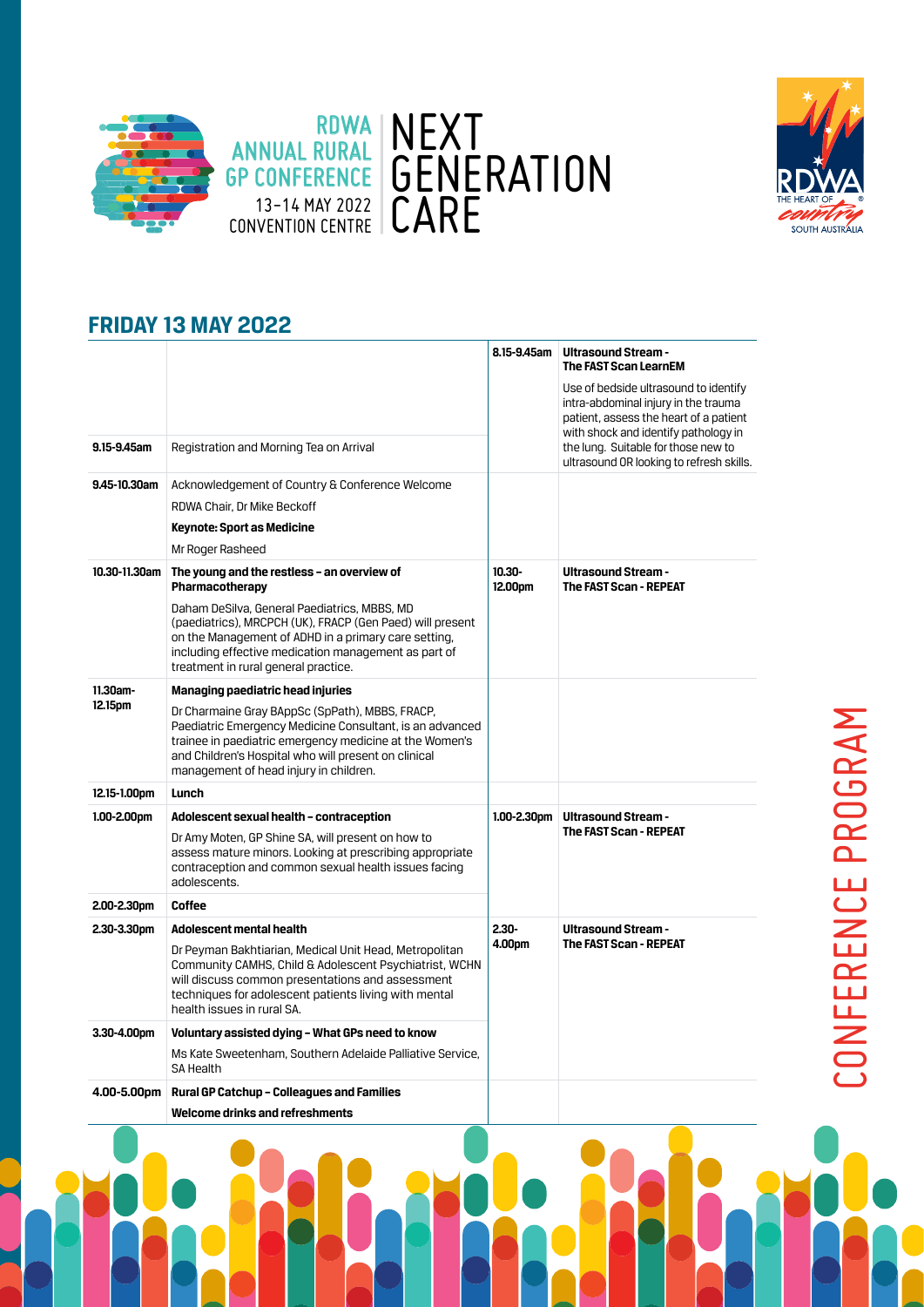



CONFERENCE PROGRAM

CONFERENCE PROGRAM

### **FRIDAY 13 MAY 2022**

|                                                                                              |                                                                                                                                                                                                                                                                          | 8.15-9.45am          | <b>Ultrasound Stream -</b><br><b>The FAST Scan LearnEM</b>                                                                                                                                             |
|----------------------------------------------------------------------------------------------|--------------------------------------------------------------------------------------------------------------------------------------------------------------------------------------------------------------------------------------------------------------------------|----------------------|--------------------------------------------------------------------------------------------------------------------------------------------------------------------------------------------------------|
|                                                                                              |                                                                                                                                                                                                                                                                          |                      | Use of bedside ultrasound to identify<br>intra-abdominal injury in the trauma<br>patient, assess the heart of a patient<br>with shock and identify pathology in<br>the lung. Suitable for those new to |
| 9.15-9.45am                                                                                  | Registration and Morning Tea on Arrival                                                                                                                                                                                                                                  |                      | ultrasound OR looking to refresh skills.                                                                                                                                                               |
| 9.45-10.30am                                                                                 | Acknowledgement of Country & Conference Welcome                                                                                                                                                                                                                          |                      |                                                                                                                                                                                                        |
|                                                                                              | RDWA Chair, Dr Mike Beckoff                                                                                                                                                                                                                                              |                      |                                                                                                                                                                                                        |
|                                                                                              | <b>Keynote: Sport as Medicine</b>                                                                                                                                                                                                                                        |                      |                                                                                                                                                                                                        |
|                                                                                              | Mr Roger Rasheed                                                                                                                                                                                                                                                         |                      |                                                                                                                                                                                                        |
| 10.30-11.30am                                                                                | The young and the restless - an overview of<br>Pharmacotherapy                                                                                                                                                                                                           | $10.30 -$<br>12.00pm | <b>Ultrasound Stream -</b><br><b>The FAST Scan - REPEAT</b>                                                                                                                                            |
|                                                                                              | Daham DeSilva, General Paediatrics, MBBS, MD<br>(paediatrics), MRCPCH (UK), FRACP (Gen Paed) will present<br>on the Management of ADHD in a primary care setting,<br>including effective medication management as part of<br>treatment in rural general practice.        |                      |                                                                                                                                                                                                        |
| $11.30$ am-<br>12.15pm                                                                       | Managing paediatric head injuries                                                                                                                                                                                                                                        |                      |                                                                                                                                                                                                        |
|                                                                                              | Dr Charmaine Gray BAppSc (SpPath), MBBS, FRACP,<br>Paediatric Emergency Medicine Consultant, is an advanced<br>trainee in paediatric emergency medicine at the Women's<br>and Children's Hospital who will present on clinical<br>management of head injury in children. |                      |                                                                                                                                                                                                        |
|                                                                                              | Lunch                                                                                                                                                                                                                                                                    |                      |                                                                                                                                                                                                        |
|                                                                                              |                                                                                                                                                                                                                                                                          |                      |                                                                                                                                                                                                        |
|                                                                                              | Adolescent sexual health - contraception                                                                                                                                                                                                                                 | $1.00 - 2.30$ pm     | <b>Ultrasound Stream -</b>                                                                                                                                                                             |
|                                                                                              | Dr Amy Moten, GP Shine SA, will present on how to<br>assess mature minors. Looking at prescribing appropriate<br>contraception and common sexual health issues facing<br>adolescents.                                                                                    |                      | <b>The FAST Scan - REPEAT</b>                                                                                                                                                                          |
|                                                                                              | Coffee                                                                                                                                                                                                                                                                   |                      |                                                                                                                                                                                                        |
|                                                                                              | <b>Adolescent mental health</b>                                                                                                                                                                                                                                          | $2.30 -$             | <b>Ultrasound Stream -</b>                                                                                                                                                                             |
|                                                                                              | Dr Peyman Bakhtiarian, Medical Unit Head, Metropolitan<br>Community CAMHS, Child & Adolescent Psychiatrist, WCHN<br>will discuss common presentations and assessment<br>techniques for adolescent patients living with mental<br>health issues in rural SA.              | 4.00pm               | <b>The FAST Scan - REPEAT</b>                                                                                                                                                                          |
|                                                                                              | Voluntary assisted dying - What GPs need to know                                                                                                                                                                                                                         |                      |                                                                                                                                                                                                        |
|                                                                                              | Ms Kate Sweetenham, Southern Adelaide Palliative Service,<br><b>SA Health</b>                                                                                                                                                                                            |                      |                                                                                                                                                                                                        |
| 12.15-1.00pm<br>$1.00 - 2.00$ pm<br>2.00-2.30pm<br>2.30-3.30pm<br>3.30-4.00pm<br>4.00-5.00pm | Rural GP Catchup - Colleagues and Families                                                                                                                                                                                                                               |                      |                                                                                                                                                                                                        |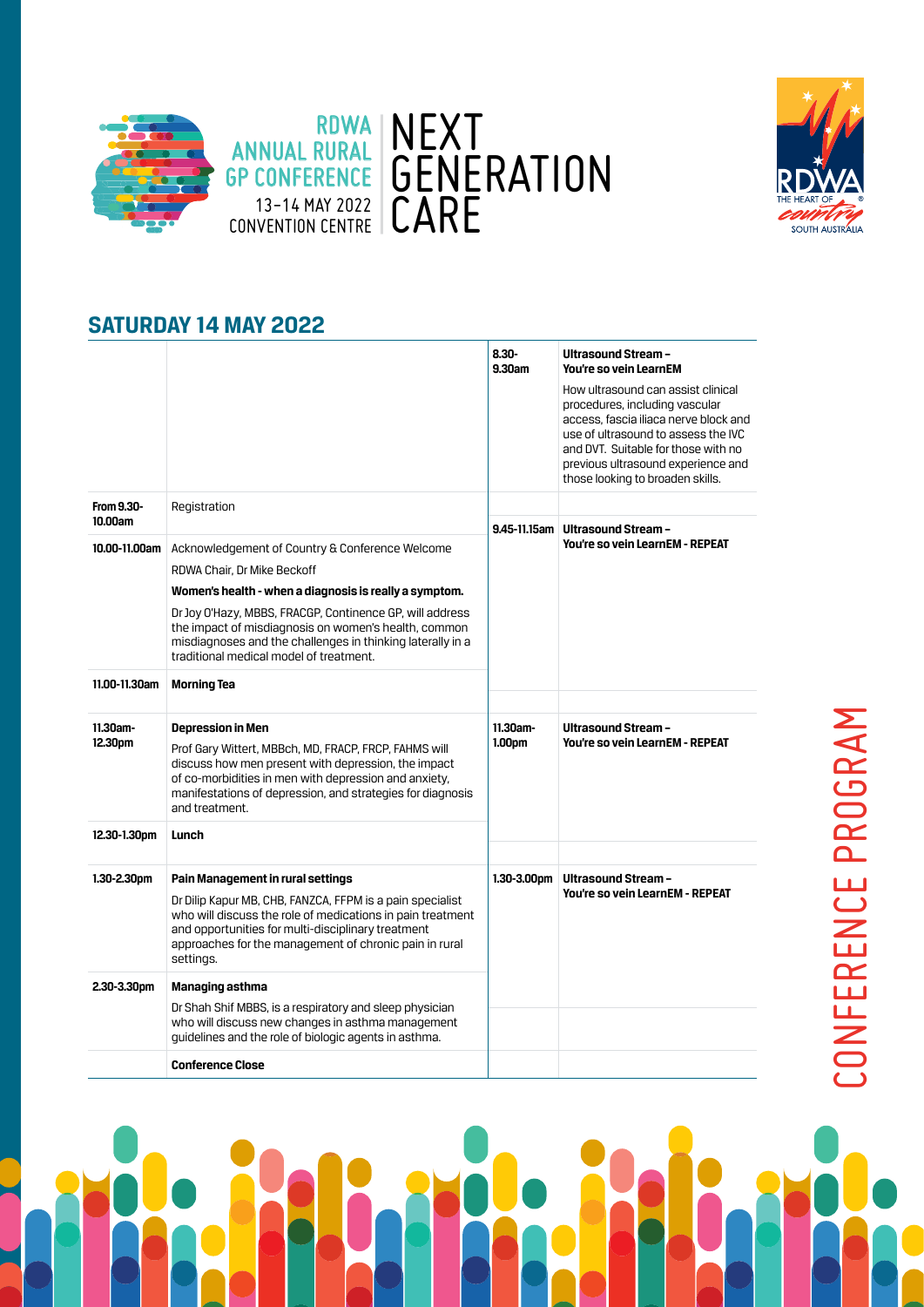



## **SATURDAY 14 MAY 2022**

|                        |                                                                                                                                                                                                                                                                                                                                                                       | $8.30 -$<br>9.30am | Ultrasound Stream -<br>You're so vein LearnEM                                                                                                                                                                                                                         |
|------------------------|-----------------------------------------------------------------------------------------------------------------------------------------------------------------------------------------------------------------------------------------------------------------------------------------------------------------------------------------------------------------------|--------------------|-----------------------------------------------------------------------------------------------------------------------------------------------------------------------------------------------------------------------------------------------------------------------|
|                        |                                                                                                                                                                                                                                                                                                                                                                       |                    | How ultrasound can assist clinical<br>procedures, including vascular<br>access, fascia iliaca nerve block and<br>use of ultrasound to assess the IVC<br>and DVT. Suitable for those with no<br>previous ultrasound experience and<br>those looking to broaden skills. |
| From 9.30-<br>10.00am  | Registration                                                                                                                                                                                                                                                                                                                                                          |                    | 9.45-11.15am Ultrasound Stream -                                                                                                                                                                                                                                      |
| 10.00-11.00am          | Acknowledgement of Country & Conference Welcome<br>RDWA Chair, Dr Mike Beckoff<br>Women's health - when a diagnosis is really a symptom.<br>Dr Joy O'Hazy, MBBS, FRACGP, Continence GP, will address<br>the impact of misdiagnosis on women's health, common<br>misdiagnoses and the challenges in thinking laterally in a<br>traditional medical model of treatment. |                    | You're so vein LearnEM - REPEAT                                                                                                                                                                                                                                       |
| 11.00-11.30am          | <b>Morning Tea</b>                                                                                                                                                                                                                                                                                                                                                    |                    |                                                                                                                                                                                                                                                                       |
| $11.30$ am-<br>12.30pm | <b>Depression in Men</b><br>Prof Gary Wittert, MBBch, MD, FRACP, FRCP, FAHMS will<br>discuss how men present with depression, the impact<br>of co-morbidities in men with depression and anxiety,<br>manifestations of depression, and strategies for diagnosis<br>and treatment.                                                                                     | 11.30am-<br>1.00pm | <b>Ultrasound Stream -</b><br>You're so vein LearnEM - REPEAT                                                                                                                                                                                                         |
| 12.30-1.30pm           | Lunch                                                                                                                                                                                                                                                                                                                                                                 |                    |                                                                                                                                                                                                                                                                       |
| $1.30 - 2.30$ pm       | Pain Management in rural settings<br>Dr Dilip Kapur MB, CHB, FANZCA, FFPM is a pain specialist<br>who will discuss the role of medications in pain treatment<br>and opportunities for multi-disciplinary treatment<br>approaches for the management of chronic pain in rural<br>settings.                                                                             | $1.30 - 3.00$ pm   | Ultrasound Stream -<br>You're so vein LearnEM - REPEAT                                                                                                                                                                                                                |
| 2.30-3.30pm            | Managing asthma                                                                                                                                                                                                                                                                                                                                                       |                    |                                                                                                                                                                                                                                                                       |
|                        | Dr Shah Shif MBBS, is a respiratory and sleep physician<br>who will discuss new changes in asthma management<br>guidelines and the role of biologic agents in asthma.                                                                                                                                                                                                 |                    |                                                                                                                                                                                                                                                                       |
|                        | <b>Conference Close</b>                                                                                                                                                                                                                                                                                                                                               |                    |                                                                                                                                                                                                                                                                       |

# CONFERENCE PROGRAM CONFERENCE PROGRAM